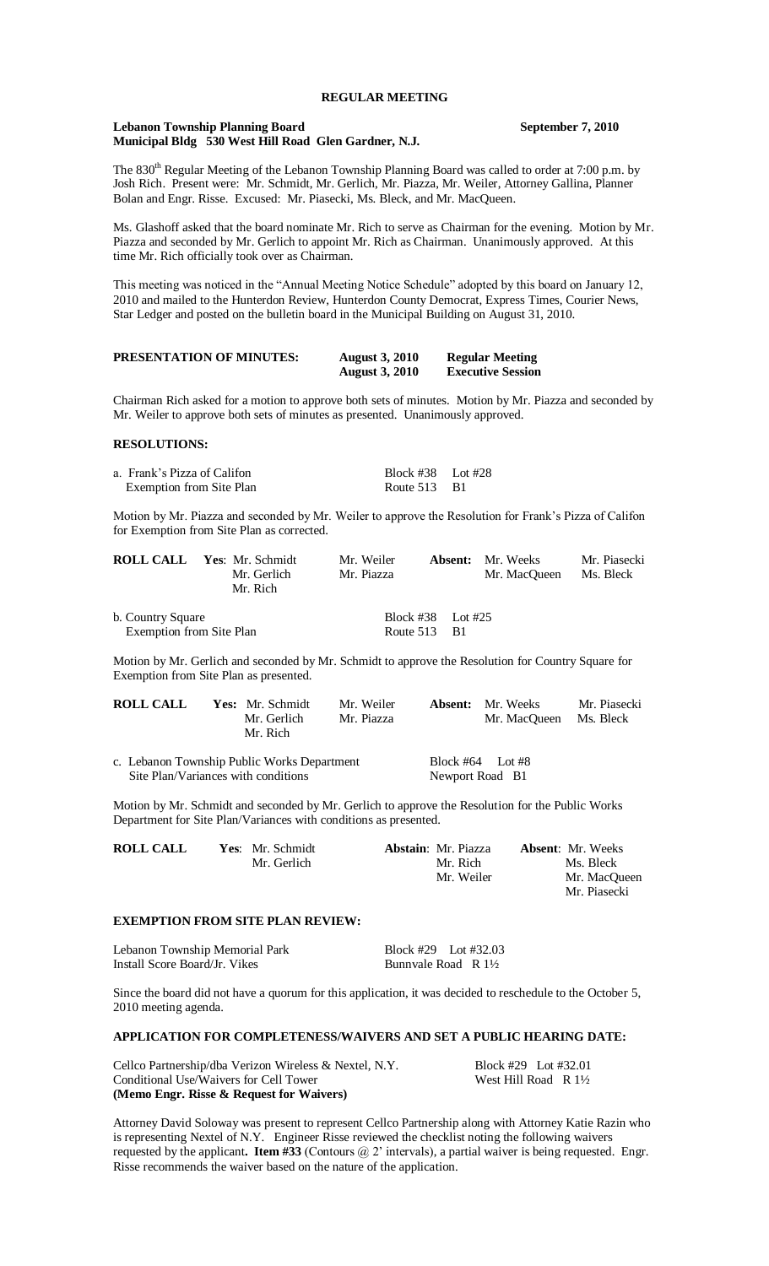## **REGULAR MEETING**

#### **Lebanon Township Planning Board September 7, 2010 Municipal Bldg 530 West Hill Road Glen Gardner, N.J.**

The 830<sup>th</sup> Regular Meeting of the Lebanon Township Planning Board was called to order at 7:00 p.m. by Josh Rich. Present were: Mr. Schmidt, Mr. Gerlich, Mr. Piazza, Mr. Weiler, Attorney Gallina, Planner Bolan and Engr. Risse. Excused: Mr. Piasecki, Ms. Bleck, and Mr. MacQueen.

Ms. Glashoff asked that the board nominate Mr. Rich to serve as Chairman for the evening. Motion by Mr. Piazza and seconded by Mr. Gerlich to appoint Mr. Rich as Chairman. Unanimously approved. At this time Mr. Rich officially took over as Chairman.

This meeting was noticed in the "Annual Meeting Notice Schedule" adopted by this board on January 12, 2010 and mailed to the Hunterdon Review, Hunterdon County Democrat, Express Times, Courier News, Star Ledger and posted on the bulletin board in the Municipal Building on August 31, 2010.

| <b>PRESENTATION OF MINUTES:</b> | <b>August 3, 2010</b> | <b>Regular Meeting</b>   |
|---------------------------------|-----------------------|--------------------------|
|                                 | <b>August 3, 2010</b> | <b>Executive Session</b> |

Chairman Rich asked for a motion to approve both sets of minutes. Motion by Mr. Piazza and seconded by Mr. Weiler to approve both sets of minutes as presented. Unanimously approved.

## **RESOLUTIONS:**

| a. Frank's Pizza of Califon | Block #38 Lot #28 |  |
|-----------------------------|-------------------|--|
| Exemption from Site Plan    | Route $513$ B1    |  |

Motion by Mr. Piazza and seconded by Mr. Weiler to approve the Resolution for Frank's Pizza of Califon for Exemption from Site Plan as corrected.

|                          | <b>ROLL CALL</b> Yes: Mr. Schmidt<br>Mr. Gerlich<br>Mr. Rich | Mr. Weiler<br>Mr. Piazza |                   | <b>Absent:</b> Mr. Weeks<br>Mr. MacOueen | Mr. Piasecki<br>Ms. Bleck |
|--------------------------|--------------------------------------------------------------|--------------------------|-------------------|------------------------------------------|---------------------------|
| b. Country Square        |                                                              |                          | Block #38 Lot #25 |                                          |                           |
| Exemption from Site Plan |                                                              |                          | Route $513$ B1    |                                          |                           |

Motion by Mr. Gerlich and seconded by Mr. Schmidt to approve the Resolution for Country Square for Exemption from Site Plan as presented.

| <b>ROLL CALL</b> | <b>Yes:</b> Mr. Schmidt | Mr. Weiler | <b>Absent:</b> Mr. Weeks | Mr. Piasecki |
|------------------|-------------------------|------------|--------------------------|--------------|
|                  | Mr. Gerlich             | Mr. Piazza | Mr. MacOueen Ms. Bleck   |              |
|                  | Mr. Rich                |            |                          |              |

| c. Lebanon Township Public Works Department | Block #64 Lot #8 |  |
|---------------------------------------------|------------------|--|
| Site Plan/Variances with conditions         | Newport Road B1  |  |

Motion by Mr. Schmidt and seconded by Mr. Gerlich to approve the Resolution for the Public Works Department for Site Plan/Variances with conditions as presented.

| <b>ROLL CALL</b> | Yes: Mr. Schmidt | <b>Abstain:</b> Mr. Piazza | <b>Absent:</b> Mr. Weeks |
|------------------|------------------|----------------------------|--------------------------|
|                  | Mr. Gerlich      | Mr. Rich                   | Ms. Bleck                |
|                  |                  | Mr. Weiler                 | Mr. MacOueen             |
|                  |                  |                            | Mr. Piasecki             |

#### **EXEMPTION FROM SITE PLAN REVIEW:**

| Lebanon Township Memorial Park | Block #29 Lot #32.03           |  |
|--------------------------------|--------------------------------|--|
| Install Score Board/Jr. Vikes  | Bunnyale Road R $1\frac{1}{2}$ |  |

Since the board did not have a quorum for this application, it was decided to reschedule to the October 5, 2010 meeting agenda.

## **APPLICATION FOR COMPLETENESS/WAIVERS AND SET A PUBLIC HEARING DATE:**

| Cellco Partnership/dba Verizon Wireless & Nextel, N.Y. | Block #29 Lot #32.01            |  |
|--------------------------------------------------------|---------------------------------|--|
| Conditional Use/Waivers for Cell Tower                 | West Hill Road R $1\frac{1}{2}$ |  |
| (Memo Engr. Risse & Request for Waivers)               |                                 |  |

Attorney David Soloway was present to represent Cellco Partnership along with Attorney Katie Razin who is representing Nextel of N.Y. Engineer Risse reviewed the checklist noting the following waivers requested by the applicant. **Item #33** (Contours  $@$  2' intervals), a partial waiver is being requested. Engr. Risse recommends the waiver based on the nature of the application.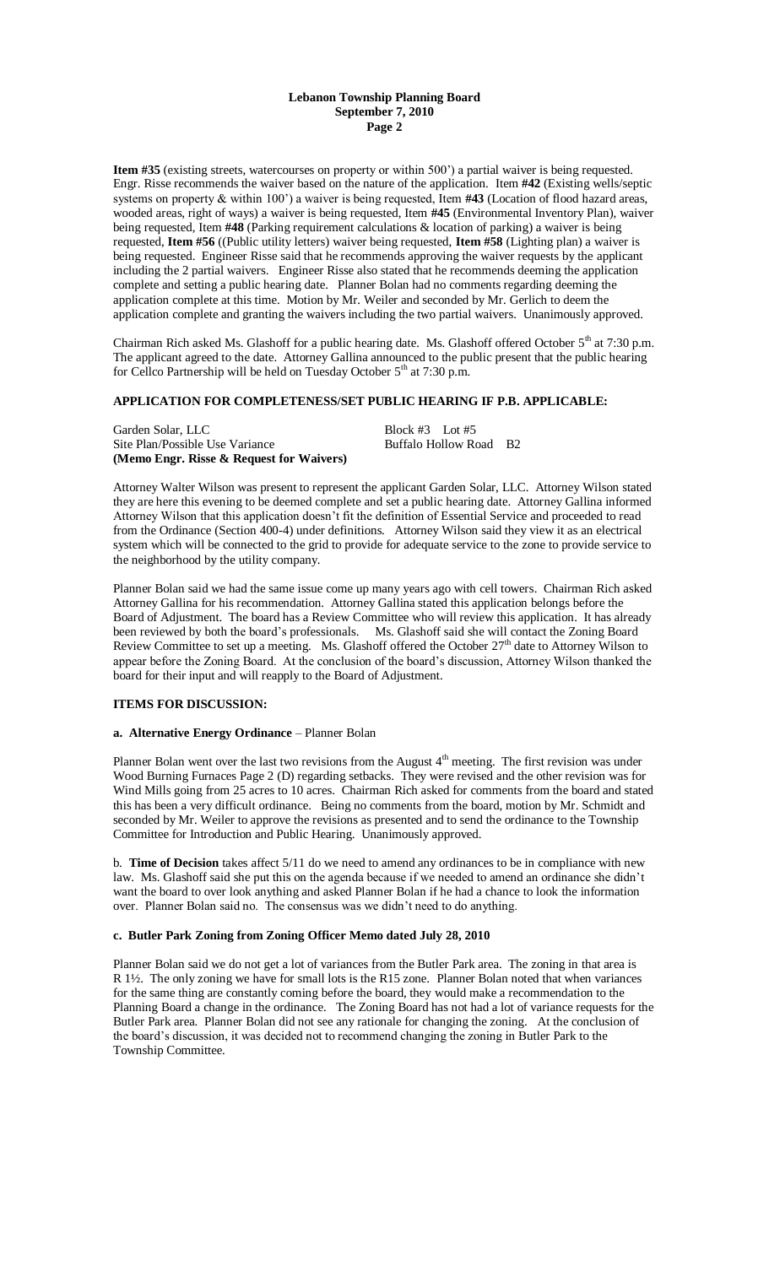### **Lebanon Township Planning Board September 7, 2010 Page 2**

**Item #35** (existing streets, watercourses on property or within 500') a partial waiver is being requested. Engr. Risse recommends the waiver based on the nature of the application. Item **#42** (Existing wells/septic systems on property & within 100') a waiver is being requested, Item **#43** (Location of flood hazard areas, wooded areas, right of ways) a waiver is being requested, Item **#45** (Environmental Inventory Plan), waiver being requested, Item **#48** (Parking requirement calculations & location of parking) a waiver is being requested, **Item #56** ((Public utility letters) waiver being requested, **Item #58** (Lighting plan) a waiver is being requested. Engineer Risse said that he recommends approving the waiver requests by the applicant including the 2 partial waivers. Engineer Risse also stated that he recommends deeming the application complete and setting a public hearing date. Planner Bolan had no comments regarding deeming the application complete at this time. Motion by Mr. Weiler and seconded by Mr. Gerlich to deem the application complete and granting the waivers including the two partial waivers. Unanimously approved.

Chairman Rich asked Ms. Glashoff for a public hearing date. Ms. Glashoff offered October 5<sup>th</sup> at 7:30 p.m. The applicant agreed to the date. Attorney Gallina announced to the public present that the public hearing for Cellco Partnership will be held on Tuesday October  $5<sup>th</sup>$  at 7:30 p.m.

# **APPLICATION FOR COMPLETENESS/SET PUBLIC HEARING IF P.B. APPLICABLE:**

| Garden Solar, LLC                        | Block $#3$ Lot $#5$    |  |
|------------------------------------------|------------------------|--|
| Site Plan/Possible Use Variance          | Buffalo Hollow Road B2 |  |
| (Memo Engr. Risse & Request for Waivers) |                        |  |

Attorney Walter Wilson was present to represent the applicant Garden Solar, LLC. Attorney Wilson stated they are here this evening to be deemed complete and set a public hearing date. Attorney Gallina informed Attorney Wilson that this application doesn't fit the definition of Essential Service and proceeded to read from the Ordinance (Section 400-4) under definitions. Attorney Wilson said they view it as an electrical system which will be connected to the grid to provide for adequate service to the zone to provide service to the neighborhood by the utility company.

Planner Bolan said we had the same issue come up many years ago with cell towers. Chairman Rich asked Attorney Gallina for his recommendation. Attorney Gallina stated this application belongs before the Board of Adjustment. The board has a Review Committee who will review this application. It has already been reviewed by both the board's professionals. Ms. Glashoff said she will contact the Zoning Board Review Committee to set up a meeting. Ms. Glashoff offered the October  $27<sup>th</sup>$  date to Attorney Wilson to appear before the Zoning Board. At the conclusion of the board's discussion, Attorney Wilson thanked the board for their input and will reapply to the Board of Adjustment.

## **ITEMS FOR DISCUSSION:**

## **a. Alternative Energy Ordinance** – Planner Bolan

Planner Bolan went over the last two revisions from the August 4<sup>th</sup> meeting. The first revision was under Wood Burning Furnaces Page 2 (D) regarding setbacks. They were revised and the other revision was for Wind Mills going from 25 acres to 10 acres. Chairman Rich asked for comments from the board and stated this has been a very difficult ordinance. Being no comments from the board, motion by Mr. Schmidt and seconded by Mr. Weiler to approve the revisions as presented and to send the ordinance to the Township Committee for Introduction and Public Hearing. Unanimously approved.

b. **Time of Decision** takes affect 5/11 do we need to amend any ordinances to be in compliance with new law. Ms. Glashoff said she put this on the agenda because if we needed to amend an ordinance she didn't want the board to over look anything and asked Planner Bolan if he had a chance to look the information over. Planner Bolan said no. The consensus was we didn't need to do anything.

#### **c. Butler Park Zoning from Zoning Officer Memo dated July 28, 2010**

Planner Bolan said we do not get a lot of variances from the Butler Park area. The zoning in that area is R 1½. The only zoning we have for small lots is the R15 zone. Planner Bolan noted that when variances for the same thing are constantly coming before the board, they would make a recommendation to the Planning Board a change in the ordinance. The Zoning Board has not had a lot of variance requests for the Butler Park area. Planner Bolan did not see any rationale for changing the zoning. At the conclusion of the board's discussion, it was decided not to recommend changing the zoning in Butler Park to the Township Committee.